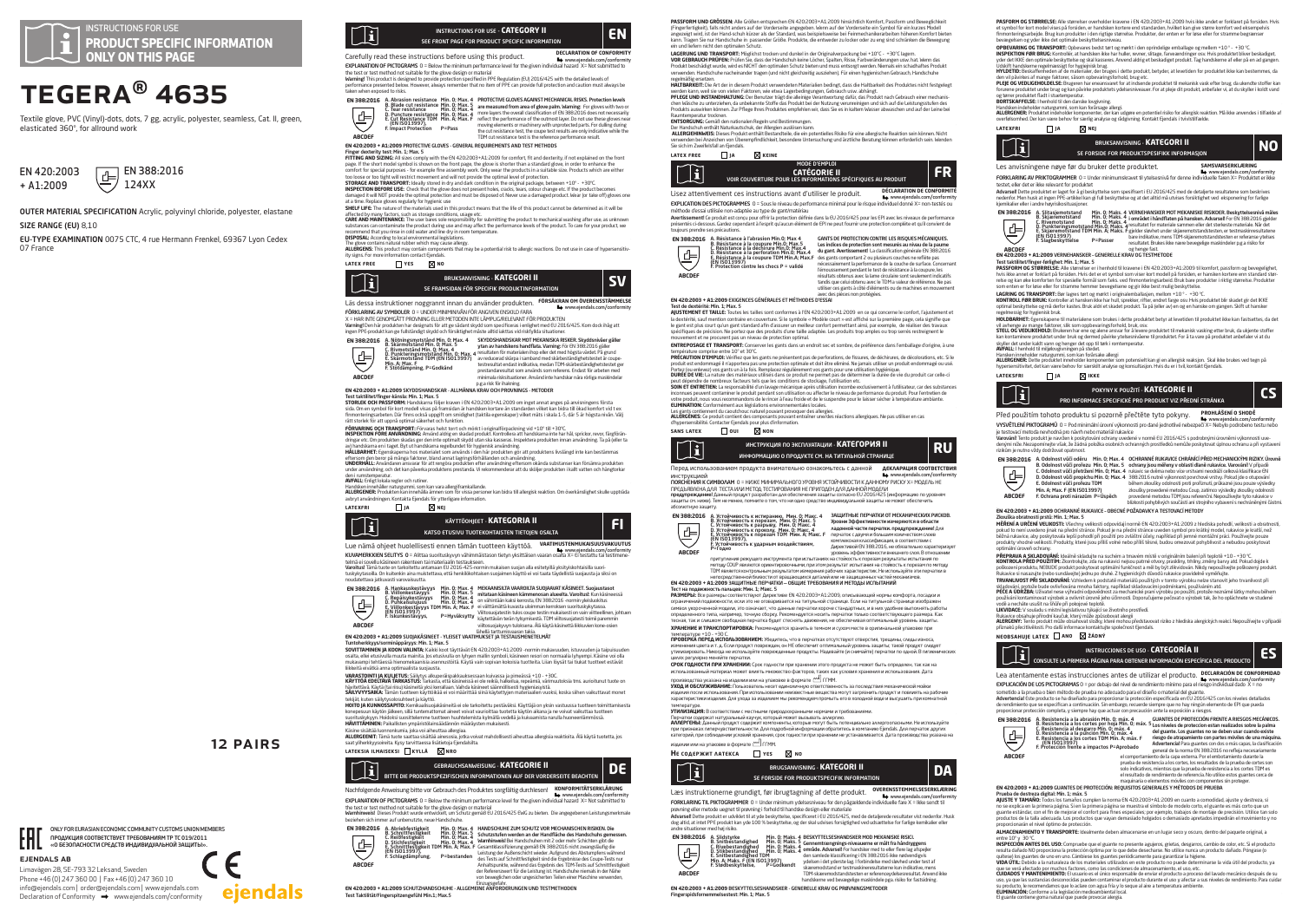

# TEGERA® 4635

Textile glove, PVC (Vinyl)-dots, dots, 7 gg, acrylic, polyester, seamless, Cat. II, green, elasticated 360°, for allround work



OUTER MATERIAL SPECIFICATION Acrylic, polyvinyl chloride, polyester, elastane SIZE RANGE (FU) 8,10

ejendals ab

Limavägen 28, SE-793 32 Leksand, Sweden Phone +46 (0) 247 360 00 | Fax +46 (0) 247 360 10 info@ejendals.com | order@ejendals.com | www.ejendals.com Declaration of Conformity  $\rightarrow$  www.ejendals.com/conformity

ONLY FOR EURASIAN ECONOMIC COMMUNITY CUSTOMS UNION MEMBERS ПРОДУКЦИЯ СООТВЕТСТВУЕТ ТРЕБОВАНИЯМ ТР ТС 019/2011 «О БЕЗОПАСНОСТИ СРЕДСТВ ИНДИВИДУАЛЬНОЙ ЗАЩИТЫ».

12 Pairs

 $\epsilon$ 

eiendals

EU-TYPE EXAMINATION 0075 CTC, 4 rue Hermann Frenkel, 69367 Lyon Cedex 07 France



Carefully read these instructions before using this product. **DECLARATION OF CONFORMITY** www.ejendals.com/conformity EXPLANATION OF PICTOGRAMS 0 = Below the minimum performance level for the given individual hazard X= Not submitted to

the test or test method not suitable for the glove design or material<br>Warming! This product is designed to provide protection specified in PPE Regulation (EU) 2016/425 with the detailed levels of<br>performance presented belo



Finger dexterity test: Min. 1; Max. 5 **FITTING AND SIZING:** All sizes comply with the EN 420:2003+A1:2009 for comfort, fit and dexterity, if not explained on the front

page. It the short model symbol is shown on the tront page, the glove is shorter than a standard glove, in order to enhance the<br>comfort for special purposes - for example fine assembly work. Only wear the products in a sui too loose or too tight will restrict movement and will not provide the optimal level of protection.

**STORAGE AND TRANSPORT:** Ideally stored in dry and dark condition in the original package, between +10" - +30"C.<br>INSPECTION BEFORE USE: Check that the glove does not present holes, cracks, tears, colour charge etc. If the at a time. Replace gloves regularly for hygienic use

**SHELF LIFE:** The nature of the materials used in this product means that the life of this product cannot be determined as it will be

affected by many factors, such as storage conditions, usage etc. **CARE AND MAINTENANCE:** The user bares sole responsibility for submitting the product to mechanical washing after use, as unknown substances can contaminate the user pares sube responsionity for submitting the product to mechanical washing arter use, as different<br>substances can contaminate the product during use and may affect the performance levels

recomment that you rines in cold water and line dy in noom temperature.<br>**DISPOSA**L: According to be all environmental legislations.<br>**ALLERGENS:** This product may contain components than may be a potential risk to allergic

**latex free yes no**



Läs dessa instruktioner noggrannt innan du använder produkten. **FÖRSÄKRAN OM ÖVERENSSTÄMMELSE** www.ejendals.com/conformity

FORKLARING AV SYMBOLER () = UNDER MINIMINIVAN FOR ANGIVEN ENSKILD FARA<br>X = HAR INTE GENOMGÄTT PROVNING ELLER METODEN INTE LÄMPLIGRELEVANT FÖR PRODUKTEN<br>Varning! Den här produkten har designats för att ge sådant skydd som s

**EN 388:2016**



ingen PF produkt lange tules tangen by the state of the state of individual since the RNS and the RNS and the RNS and the RNS and the RNS and the RNS and the RNS and the RNS and the RNS and the RNS and the RNS and the RNS SKYDDSHANDSKAR MOT MEKANISKA RISKER. Skyddsnivåer gäller<br>ytan av handskens handflata. Varning: För EN 388:2016 gäller<br>resultaten för materialen ihop eller det med högsta värder. På grund<br>av reducerad skärpa i samband med s prestandaresultat som används som referens. Endast för arbeten med minimala risksituationer. Använd inte handskar nära rörliga maskindelar

# p.g.a risk för ihakning.<br>p.g.a risk för ihakning.<br>CH 430-3003 + 41-3000 EWDELLANDEVAD ALLHÄNNA KRALLOFLI DROUNINGE. HETOPED.

EN 4202003 + ALZ2009 SAYODSHANDSARR - ALLHANNA KRAV OCH PROVININGS - METODER<br>THE TREAT COMPARENT IN THE SAME ARREST OF THE SAME ARREST OF THE SAME ARREST OF THE SAME COMPARENT IN THE SAME<br>STORIES COMPARENT Fundamental prof

av) handskarna en i taget. Byt ut handskarna regelbundet för hygienisk användning. **HÅLLBARHET:** Egenskaperna hos materialet som används i den här produkten gör att produktens livslängd inte kan bestämmas

eftersom den beror på många faktorer, bland annat lagringsförhällanden och användning.<br>**UNDERHALL:** Användaren ansvarar för att rengöra produkten efter användning eftersom okända substanser kan försämra produkten<br>under anv

den Inmistempentuk.<br>ANTAN Erings tekan regier och maties kan vara allergifrankalande.<br>ANTANGERIRE Produkten kan interhilla innen som för vissa personer kan bidra till allergisk reaktion. Om överkänslighet skulle uppträda<br>A

# **latexfri ja nej**



www.eindals.com/conformity KUVID-11 = Alittaa suorituskyvyn vähimmäistason tietyn yksittäisen vaaran osalta X= Ei testattu tai testimene-<br>KUVAMERKKIEN SELITYS 0 = Alittaa suorituskyvyn vähimmäistason tietyn yksittäisen va

telmä ei sovellu käsineen rakenteen tai materiaalin testaukseen.<br>**Varoitus!** Tämä tuote on tarkoitettu antamaan EU 2016-425-normin mukaisen suojan alla esitetyillä yksityiskohtaisilla suorituskykytasoilla. On kuitenkin aina muistettava, että henkilökohtaisen suojaimen käyttö ei voi taata täydellistä suojausta ja siksi on





EN 420:2003 + A1:2009 SUOJAKÄSINEET - YLESET VAATIMUKSET JA TESTAUSMERIKSE<br>Tunnicherkkyps/sommägapäryys-Min. 1.14ms. 5<br>SONT PAMINEN JAKOON VAIMINTA: kokki koordis on juhaan (1940–1412)009 -pormin mukavasden, Istuvusden ja

**VARASTOINTI JA KULJETUS:** Säilytys alkuperäispakkauksessaan kuivassa ja pimeässä +10 - +30C.<br>**KÄYTTÖÄ EDELTÄVÄ TARKASTUS:** Tarkasta, että käsineissä ei ole reikiä, halkeilua, repeämiä, värimuutoksia tms. aurioitunut tuote

hävitettävä. Käytä (tai riisu) käsineitä yksi kerrallaan. Vaihda käsineet säännöllisesti hygieniasyistä.<br>**SÄLLYVYYSAIKA:** Tämän tuotteen käyttöikää ei voi määrittää siinä käytettyjen materiaalien vuoksi, koska siihen vaiku

tekijät, kuten säilytysolosuhteet ja käyttö.<br>**HOTTO JA KUNNOSSAPITO:** Kemikaalisuojakäsineitä ei ole tarkoitettu pestäväksi. Käyttäjä on yksin vastuussa tuotteen toimittamisesta<br>konepesuun käytön jälkeen, sillä tuntemattom

suorituskykyyn. Hoidoksi suosittelemme tuotteen huuhtelemista kylmällä vedellä ja kuivaamista narulla huoneenlämmössä<br>**HÄVITTÄMINEN:** Paikallisten ympäristölainsäädännön määräysten mukaisesti.

Käsine sisältää luonnonkumia, joka voi alheuttaa allergiaa.<br>**ALLERGEENIT:** Tämä tuote saattaa sisältää ainesosia, jotka voivat mahdollisesti aiheuttaa allergisia reaktioita. Älä käytä tuotetta, jos<br>s**aat viiherkkyys**oireit

**lateksia ilmaiseksi kyllä nro**



Nachfolgende Anweisung bitte vor Gebrauch des Produktes sorgfältig durchlesen! **KONFORMITÄTSERKLÄRUNG** www.ejendals.com/conformity EXPLANATION OF PICTOGRAMS 0 = Below the minimum performance level for the given individual hazard X= Not submitted to



Einzugsgefahr. **EN 420:2003 + A1:2009** SCHUTZHANDSCHUHE - ALLGEMEINE ANFORDERUNGEN UND TESTMETHODEN Test Taktilität/Fingerspitzengefühl Min.1; Max.5

**PASSFORM UNIO CROSSEN:** Alle icroiden entsprechen EN 420:2003-FA1:2003 hinsichtlich Komfort, Passtorm und Beweglichkeit<br>«Fingerfertigkeit), falls nicht anders auf der Vorderseite angegeben. Wenn auf der Vorderseite in Sym ein und liefern nicht den optimalen Schutz.<br>LAGERUNG UND TRANSPORT: Möglichst trocken und dunkel in der Originalvernackung bei +1 0°C - +30°C lagern

LAGERUNK UND TRANSPORT: Moglichat trocken und dunkel in der Originalerpackung bei +1.0°C - +30°C lagem.<br>VOR GEBRAUCH PRÜFEN: Prifen Sie, dass der Handschuh keine Löcher, Spalten, Risse, Farbveränderungen usw. hat. Wenn das regelmäßig ersetzen.<br>1980: Salam Barnett des Indianan Produkt vorwendeten Materialien bedient dass die Haltbackelt des Reedultes eis<br>HALTDABKEIT: Die Art der in diesem Reedulst vorwendeten Materialien bedient dass die Halt

**HALTBARKER:** Die Art Gerin diesem Produkt verwendeten Materialen bedrigt, dass die Haltbanker des Produktes norti teisgeieg<br>Versick UND WETANDHATUNG Aberland von die Stefan der Beitrigungen. Gesauch unk abbilget at nach G Raumtemperatur trocknen.<br>**Raumtemperatur trocknen.**<br>FNTSOPCLING: Gemäß den nationalen Regeln und Bestimmung.

**ENTSORGUNG:** Gemäß den nationalen Regeln und Bestimmungen.<br>Der Handschuh enthält Naturkautschuk, der Allergien auslösen kann.<br>**ALLERGIEHINMEIS:** Dieses Produkt enthält Bestandteile, die ein potentielles Risiko für eine al verwenden bei Anzeichen von Überempfindlichkeit, besondere Untersuchung und ärztliche Beratung können erforderlich sein. Wenden

### Sie sich im Zweifelsfall an Fiendals. **latex free ja keine**

| Ħ | MODE D'EMPLOI<br><b>CATÉGORIE II</b><br>VOIR COUVERTURE POUR LES INFORMATIONS SPÉCIFIQUES AU PRODUIT |  |
|---|------------------------------------------------------------------------------------------------------|--|
|---|------------------------------------------------------------------------------------------------------|--|

Lisez attentivement ces instructions avant d'utiliser le produit. **DÉCLARATION DE CONFORMITÉ Le** www.eiendals.com/conformit EXPLICATION DES PICTOGRAMMES 0 = Sous le niveau de performance minimal pour le risque individuel donné X= non-testés ou

méthode d'essai utilisée non-adaptée au type de gant/matériau<br>Augstinement Concept is est press par effet le protection définit dans le CL201C/42C par les CN quantes de comme **Avertissement!** Ce produit est conçu pour offrir la protection définie dans la EU 2016/425 pour les EPI avec les niveaux de performance<br>présentés ci-dessous. Gardez cependant à l'esprit qu'aucun élément de EPI ne peut fou

toujours prendre ses précautions.<br> **EN 388:2016**<br> **EN 888:2016**<br> **EN 888:11ance à l'advasion Min.0: Max.4**<br>
C. Résistance à la déplure Min.0: Max.4<br>
E. Résistance à la perforation Min.0: Max.4<br>
E. Résistance à la perforati **EN 388:2016 ABCDEF**

l'écessairement la performance de la couche de surface, conc<br>l'émoussement pendant le test de résistance à la coupure, les<br>résultats obtenus avec la lame circulaire sont seulement indic résultats obtenus avec la lame circulaire sont seulement indicatifs tandis que celui obtenu avec le TDM a valeur de référence. Ne pas utiliser ces gants à côté d'éléments ou de machines en mouvement avec des pièces non protégées.

**EN 420:2003 + A1:2009** EXIGENCES GÉNÉRALES ET MÉTHODES D'ESSAI

GANTS DE PROTECTION CONTRE LES RISQUES MECANIQUES.<br>Les indices de protection sont mesurés au nivau de la paume<br>du gant. Avertissement La classification générale EN 388:2016<br>des gants comportant 2 ou plusieurs couches ne re

T**est de dextérité: Min. 1; Max. 5**<br>**AJUSTEMENT ET TAILLE:** Toutes les tailles sont conformes à l'EN 420:2003+A1:2009 en ce qui concerne le confort, l'ajustement et المستخدم المستخدم المستخدم المستخدم المستخدم المستخدم المستخدم المستخدم المستخدم المستخدم المستخدم المستخدم ال<br>The dextentité, sauf mention contraire en couverture. Si le symbole « Modèle court » est affiché sur la premiè le gant est plus court qu'un gant standard afin d'assurer un meilleur confort permettant ainsi, par exemple, de réaliser des travaux<br>spécifiques de précision. Ne portez que des produits d'une taille adaptée. Les produits t

**ENTREPOSAGE ET TRANSPORT:** Conserver les gants dans un endroit sec et sombre, de préférence dans l'emballage d'origine, à une

templatake comptise entre 10° et 30°.<br>PRECAUTION D'ENHADE: Verifier que les gants ne présentent pas de perforations, de fissures, de déchirures, de d<br>PRECAUTION D'ENHADE: Verifier que les Bempleses régulierant une gent pou

peut dépendre de nombreux facteurs tels que les conditions de stockage, l'utilisation etc.<br>inconnues peuvent contaminer le produit pendant son utilisation ou affecter le niveau de performance du produi<br>inconnues peuvent co

**ELIMINATION:** Conformément aux législations environnementales locales.<br>Les gants contiennent du caoutchouc naturel pouvant provoquer des allergies.<br>**ALLERGENES:** Ce produit contient des composants pouvant entraîner une/de

d'hypersensibilité. Contacter Ejendals pour plus d'information.







ПОВОЦЕНИЯ К СИМВОЛАМ С 1-НАЖЕ МИНИРАЛЬНОГО УРОВНЯ УСТОИЧНОВСТВУ ДАННОМ МЕНОВИТЕЛЬСУ И СОСЛЕДНОЕ.<br>ПРЕДЪЯВЛЕННА ДЛЯ ТЕСТА ИЛИ МЕТОД ТЕСТИРОВАНИЯ НЕ ПРИГОДЕН ДЛЯ ДАННОЙ МОДЕЛИ.<br>В КРАНИРАЛЬНОЕ ДОБИТЬ НА ПОВОДИТЕЛЬНОЕ ОТ МОДЕЛ



А. Устойчивость к истиранию, Мин. 0; Макс. 5<br>В. Устойчивость к порезам, Мин. 0; Макс. 5<br>О. Устойчивость к разрыву, Мин. 0; Макс. 4<br>D. Устойчивость к проколу, Мин. 0; Макс. 4<br>(EN ISO13997),<br>F=Годно<br>Р=Годно **ABCDEF**

шонто о жил о оношана и глиндире анавиде<br>притупления режультания испытаниях на стойкость к порезам результаты испытания по методу COUP являются ориентировочными, при этом результат испытания на стойкость к порезам по методу TDM является контрольным результатом измерения рабочих характеристик. Не используйте эти перчатки в

непосредственной близости от вращающихся деталей или не защищенных частей механизмов. **EN 420:2003 + A1:2009** ЗАЩИТНЫЕ ПЕРЧАТКИ — ОБЩИЕ ТРЕБОВАНИЯ И МЕТОДЫ ИСПЫТАНИЙ

. Тест на подвижность пальцев: Мин. 1; Макс. 5<br>РАЗМЕРЫ: Все размеры соответствуют Директиве EN 420:2003+A1:2009, описывающей нормы комфорта, посадки и<br>ограничений подвижности, если это не оговаривается на титульной страни символ укороченной модели, это означает, что данные перчатки короче стандартных, и в них удобнее выполнять работы<br>определенного типа, например, точную сборку. Рекомендуется ногить перчатки только соответствующего размера. **ХРАНЕНИЕ И ТРАНСПОРТИРОВКА:** Рекомендуется хранить в темном и сухом месте в оригинальной упаковке при

температуре +10 - +30 С.<br>ПРОВЕРКА ПЕРЕД ИСПОЛЬЗОВАНИЕМ: Убедитесь, что в перчатках отсутствуют отверстия, трещины, следы износа,<br>изменения цвета и т.д. Если продукт поврежден, что не не беспечит отпичальный уровень защить

целях регулярно меняйте перчатки.<br>**СРОК ГОДНОСТИ ПРИ ХРАНЕНИИ:** Срок годности при хранении этого продукта не может быть определен, так как на<br>использованный материал может влиять множество факторов, таких как условия хран

производства указана на изделии или на упаковке в формате (^^) ГГММ.<br>**УХОД И ОБСЛУЖИВАНИЕ:** Пользователь несет единоличную ответственность за последствия механической мойки

изделия после использования. При использовании неизвестные вещества могут загрязнить продукт и повлиять на рабочие<br>характеристики изделия. Для ухода за изделием мы рекомендуем промыть его в холодной воде и высушить при ко температуре.

**УГИМЕАЦИ**ВЕ В соглествени с нестнами природолодинами нареками пробланиями.<br>Перептой совремят натурамный каучук который комет вызывать америко.<br>Иметиканый с интернетивном морной современной неформации обратитель в компани .<br>19 или или на упаковке в формате Г<sup>олд</sup> ГГММ.

**Не содержит латекса** Пуеs ⊠ но

**EN 388:2016**

**ABCDEF**



Læs instruktionerne grundigt, før ibrugtagning af dette produkt. **OVERENSSTEMMELSESERKLÆRING** FORKLARING TIL PIKTOGRAMMER 0 = Under minimum ydelsesniveau for den pågældende individuelle fare X = Ikke sendt til<br>prøvning eller metode uegnet til prøvning i forhold til handske design eller materiale

**Advarsel!** Dette produkt er udviklet til at yde beskyttelse, specificeret i EU 2016/425, med de detaljerede resultater vist nedenfor. Husk<br>dog altid, at intet PPE produkt kan yde 100 % beskyttelse, og der skal udvises for

andre situationer med høj risko.<br>
EN 388:2016 A. Slidstyrke<br>
E. Shubestandighed Miln. 0: Maks.<br>
C. Shubestandighed Miln. 0: Maks.<br>
C. Shubestandighed TDM. 0: Maks.<br>
H. A Maks. F (EN ISO13997)<br>
H. A Maks. F (EN ISO13997)<br>
F

**BESIVTITELSENHANDSKER MOD MEKANISKE RISICI.**<br>**Generaltzangnings niveauerne er målt fra händryggens omdade. Advarsel For handsker med to eller flug afgrageler<br>den samlede klassificering i EN 3882016 ikke nødvendigvis<br>den s** 

**EN 420:2003 + A1:2009** BESKYTTELSESHANDSKER - GENERELLE KRAV OG PRØVNINGSMETODER Fingerspidsfornemmelsestest: Min. 1; Max. 5

PASFORM OG STØRRELSE: Alle størrelser overholder kravene i EN 420:2003+A1:2009 hvis ikke andet er forklaret på forsiden. Hvis et symbol for kort model vises på forsiden, er handsken kortere end standarden, hvilket kan give større komfort ved eksempelvis<br>finmonteringsadejde. Brug kun produkter i den rigtige størrelse. Produkter, der enten er for l OPBEVARING OG TRANSPORT: Opbevares bedst tørt og mørkt i den oprindelige emballage og mellem +1.0 " - +30 "C.<br>INSPEKTION FØR BRUC: Kontrollér, at handsken ikke har huller, revner, slitage, farvæendringer osv. Hvis produkte

Udskift handskerne regelmæssigt for hygiejnisk brug. **HYLDETID:** Beskaffenheden af de materialer, der bruges i dette produkt, betyder, at levetiden for produktet ikke kan bestemmes, da den vil pävirkes at mange taktorer, såsom opbevaringstorhold, brug etc.<br>**PLEJE OG VEDLIGEHOLDELSE:** Brugeren har eneansvaret for at Indsende produktet til mekanisk vask efter brug, da ukendte stoffer kan<br>forurene produktet og teme produktet hadt studenperatur.<br>1908/1906/Pers Format til den danske logivning.<br>ALLERGENER: Produktet hideholde komponente, de kan udgøre en potentiel risko for allergisk reaktion. Må ikke anvendes i tilfælde af<br>ALLE

Les anvisningene nøye før du bruker dette produktet. **SAMSVARSERKLÆRING** 

testet, eller det er ikke relevant for produktet<br>Advarsell Dette produktet er laget for å gi beskyttelse som spesifisert i EU 2016/425 med de detaljerte resultatene som beskrives<br>nedenfor. Men husk at ingen PPE-artikkel ka

PASSFORM OG STØRRELSE Alle størrelser er i henhold til kravene i: EN 420:2003-14.2:2009 til komtort, passtorm og bevegelighet,<br>Inkis like annet er forklart på forsiden. Hvis det er et symbol som viser kort modell på forsid LAGRING OG TRANSPORT: Bør lagres tørt og mørkt i originalemballasjen, mellom +10 ° - +30 °C.<br>KONTROLL FØR BRUK: Kontroller at hansken ikke har hull, sprekker, rifter, endret farge osv. Hvis produktet blir skadet gir det IK inal deskyttebe og na del iol kastes. Diuk aldret skadet produkt, ta på (ener av) en og en nanske om gangen. Skilt ut hanskel<br>elmessig for hygienisk bruk.<br>I DDADUET: Coopelennone til materialene com bruker i dette eredukte HOLDBARHET: Egenskapene til materialene som brukes i dette produktet betyr at levetiden til produktet ikke kan fastsettes, da det<br>vil avhenge av mange faktorer, slik som oppbevaringsforhold, bruk, osv.<br>STELL OG VEDLIKEHOLD kan kontaminere produktet under bruk og dermed påvirke ytelsesnivåene til produktet. For å ta vare på produktet anbefaler vi at du skyller det under kaldt vann og henger det opp til tørk i romtemperatur. **AVFALL:** henhold til nijølovgivningen på stedet.<br>**ALCERGENER:** Dette produktet inneholder komponenter som potensielt kan gi en allergisk reaksjon. Skal ikke brukes ved tegn på<br>**ALLERGENER:** Dette produktet inneholder komp

Před použitím tohoto produktu si pozorně přečtěte tyto pokyny. **PROHLÁŠENÍ O SHODĚ**  www.ejendals.com/conformity VYSVĚTLENÍ PIKTOGRAMŮ 0 = Pod minimální úrovní výkonnosti pro dané jednotlivé nebezpečí X= Nebylo podrobeno testu nebo je testovací metoda nevhodná pro návrh nebo materiál rukavice<br>Varováníl Tento produkt je navržen k poskytování ochrany uvedené v normě EU 2016/425 s podrobnými úrovněmi výkonnosti uve-<br>denými níže. Nezapomínejte však, že ž

< **EN 420:2003 + A1:2009** OCHRANNÉ RUKAVICE – OBECNÉ POŽADAVKY A TESTOVACÍ METODY

A. Resistencia a la abrasión Mín. O; máx. 4<br>B. Resistencia a los cortes por hoja Mín. O; máx. 4<br>C. Resistencia al desgarro Mín. O; máx. 4<br>D. Resistencia a la punción Mín. O; máx. 4<br>E. Resistencia a los cortes TDM Mín. A; m

maquinaria o elementos móviles con componentes sin proteger.<br>**EN 420:2003 + A1:2009** GUANTES DE PROTECCIÓN: REQUISITOS GENERALES Y MÉTODOS DE PRUEBA

**Prueba de destreza digital: Min. 1 máx.**<br>**A JUSTE Y TAMARO:** Todos los tamaños cumplen la norma EN 420:2003-A1.2009 en cuanto a comodidad, ajuste y destreza, si<br>no se explica en la primera pagina. Si en la primera página **ALMACENAMIENTO Y TRANSPORTE:** Idealmente deben almacenarse en un lugar seco y oscuro, dentro del paquete original, a entre 10º y 30 ºC. **INSPECCIÓN ANTES DEL USO:** Compruebe que el guante no presente agujeros, grietas, desgarros, cambio de color, etc. Si el producto resulta dañado NO proporciona la protección óptima por lo que debe desecharse. No utilice nunca un producto dañado. Póngase (o<br>quitese) los guantes de uno en uno. Cámbiese los guantes periódicamente para garantizar la higi que se verá afectado por muchos factores, como las condiciones de almacenamiento, el uso, etc.<br>**CUIDADOS Y MANTENIMIENTO:** El usuario es el único responsable de enviar el producto a proceso del lavado mecánico después de s su producto, le recomendamos que lo aclare con agua fría y lo seque al aire a temperatura ambiente.<br>**ELIMINACIÓN:** Conforme a la legislación medioambiental local.<br>El guante contiene goma natural que puede provocar alergia.

EN 388:2016 A. Odolnost vůči oděru Min. 0; Max. 4 OCHRANNE RUKAVICE CHRANICI PRED MECHANICKÝMI RIZIKY. Urovně B. Odolnost vůči prořezu Min. 0; Max. 5 ochrany jsou měřeny v oblasti dlaně rukavice. Varování! V případě<br>C. Odolnost vůči přetržení Min. 0; Max. 4 rukavic se dvěma nebo více vrstvami neodráží celková klasifikace EN D. Odolnost vůči propichu Min. 0; Max. 4 388:2016 nutně výkonnost povrchové vrstvy. Pokud jde o otupování E. Odolnost vůčil profezu TDM<br>Min. A; Max. F (EN ISO13997) – zkoušky provedené metodou Coup, zatímco výsledky zkoušky odolnosti<br>F. Ochrana proti nárazům P=Úspěch – provedené metodou Coup, zatímco výsledky zkoušky odolnosti

Z**kouška okratnosti prstiz: Mn. 1.: Max. 5**<br>połu**ci t**o neu tw**ecki prijadził przedzi przedzi**ej normał EN 4202003+A1:2009 z hlediska pohodli, velikosti a obratnosti,<br>połuci to neu tweckim jinak na plećini straśnice. Połud

**PREPRANA A SKLADOVANI**N lódalně skladujte na suchém a trmacém místě v originálním balení při teplotě +10 –+30 <sup>e</sup><br>**KONTROLA PŘED POUŽITÍN**E Zkontrolujte, zda na ručavicí nejsou patrné otvory, prasklíny, trhlíny, změny bar TRWANLIVOST PŘÍ SKLADOVÁNĚ Vzhledem k podstatě materiálů použitých v tomto výrobku nebe stanovit jeho trvanlivost při<br>PŘÍČA OUDŘŽBA: Uživatel nese výhradní odpovědnost za mechanické pranivyoruhovaní, používáním atd.<br>PŘÍČA v**odě a nechá**te usušít na štůlie fij polopové teplotě.<br>**Liký lideček**y v soukolu s městní legislativou týslující se životního prostředí.<br>**ALEKKÉHY:** Temb produkt může obsahovat todoby, které město představovat riziko z hl

INSTRUCCIONES DE USO **- CATEGORIA II**<br>CONSULTE LA PRIMERA PÁGINA PARA OBTENER INFORMACIÓN ESPECÍFICA DEL PRODUCTO Lea atentamente estas instrucciones antes de utilizar el producto. DECLARACION DE CONFORMIDAD<br>EXPLICACIÓN DE LOS PICTOGRAMAS 0 = por debajo del nivel de rendimiento mínimo para el riesgo individual dado X = no sometido a la prueba o bien método de prueba no adecuado para el diseño o material del guante.<br>**Advertencial** Este producto se ha diseñado para proporcionar la protección específicada en EU 2016/425 con los niveles detalla

máx. 4<br>  $\sim$  6. COMPTES DE PROTECOON PRENTE A RISSCO SPICANNICOS.<br>
Min. 0, máx. 5 Los niveles de proteccion estan realizados sobre la palma<br>
Afin. 0, máx. 5 Los niveles de proteccion estate una ricana condo existe<br>
Afin.

solo indicativos, mientras que la prueba de resistencia a los cortes TDM es el resultado de rendimiento de referencia. No utilice estos guantes cerca de

POKYNY K POUŽITÍ - **KATEGORIE II CS**<br>PRO INFORMACE SPECIFICKÉ PRO PRODUKT VIZ PŘEDNÍ STRÁNKA

FORKLARING AV PRIKTOGRAMMER 0 = Under minimumskravet til ytelsesnivå for denne indiv

A. Slitasjemotstand Min. 0; Maks. 4<br>B. Skjæremotstand Min. 0; Maks. 4<br>C. Rivemotstand Min. 0; Maks. 4<br>D. Punkteringsmotstand Min.0; Maks. 4<br>E. Skjæremotstand TDM Min. 0; Maks. F<br>F. Slagbeskyttelse P=Passer

og henge fast. **ABCDEF EN 420:2003 + A1:2009** VERNEHANSKER – GENERELLE KRAV OG TESTMETODE Test taktilitet/finger-førlighet: Min. 1; Max. 5

BRUKSANVISNING - **KATEGORI II NO**<br>SE FORSIDE FOR PRODUKTSPESIFIKK INFORMASJON

VERNEHANSKER MOT MEKANISKE RISINGER. Beskyttelsesning males<br>i området i händflaten på hansken. Advarsell For EN 3882015 gjelder<br>resultatet for materiale sammen eller det sterkeste materiale. Når det<br>i gjelder sløvhet under

wyw.mana.com/com/ormit<br>https://www.link.com/conformity

**latexfri ja nej**

**lateksfri ja ikke**

rizikům je nutno vždy dodržovat opatrnost.

**NEOBSAHUIE LATEX ANO ZIZÁDNÝ** 

**ABCDEF**

 $\bigcap \widetilde{\mathbf{i}}$ 

**EN 388:2016**

**ABCDEF**

**EN 388:2016**

 $\sqcap_{\mathbf i}$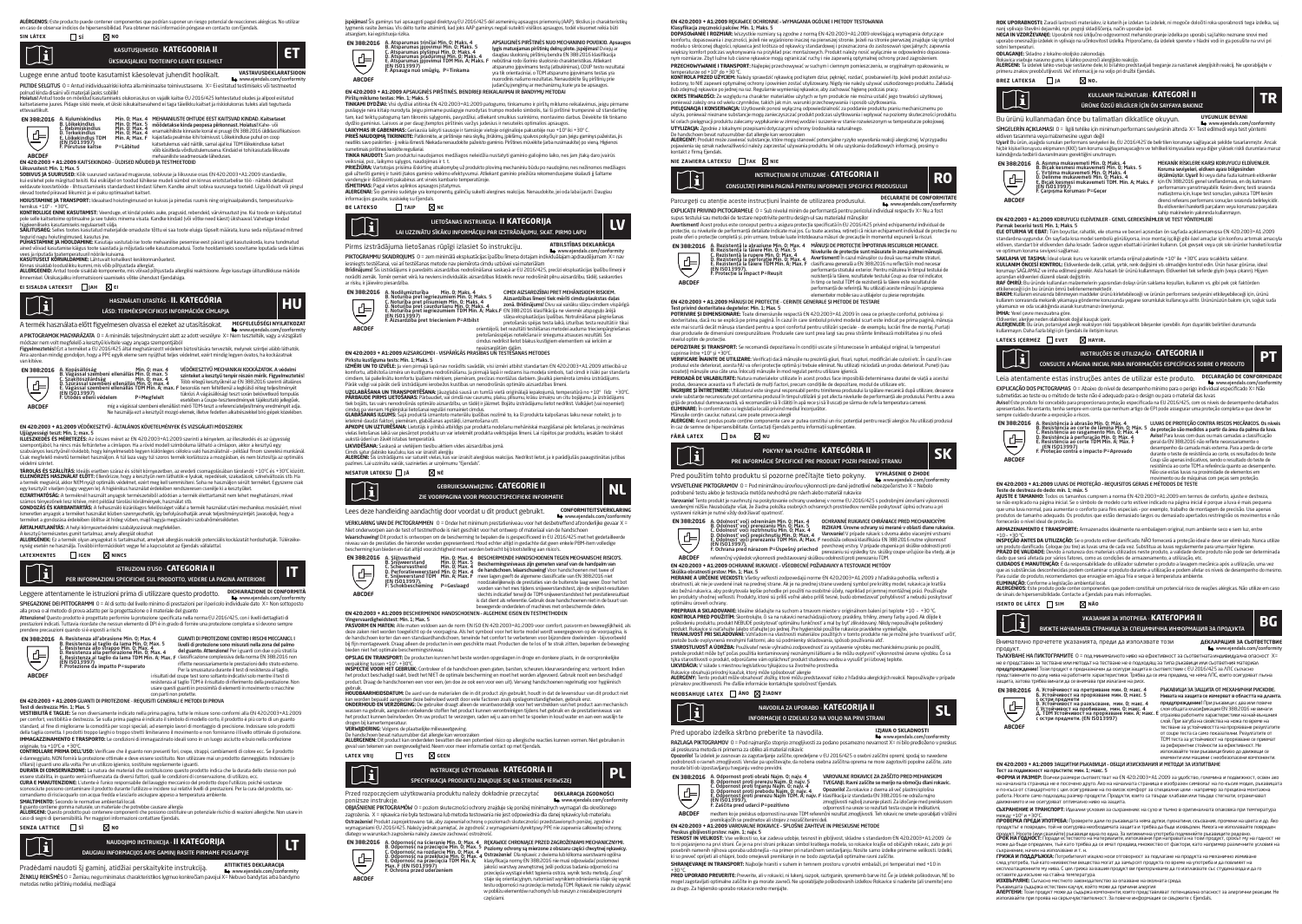**sin látex sí no**



Lugege enne antud toote kasutamist käesolevat juhendit hoolikalt. **VASTAVUSDEKLARATSIOON** www.ejendals.com/conformity PILTIDE SELGITUS 0 = Antud inidividuaalriski kohta alla minimaalse toimivustaseme. X= Ei esitatud testimiseks või testmeetod

polnud kinda disaini või materjali jaoks sobilik!<br>Heistusl Antud toode on mõeldud kasutamiseks olukoras kus on vajalik kaitse EU2016/425 kehtestatud oludes ja alloool esitatud. **Hoiatusi** Antud toode on mõeldud kasutamiseks olukorras,kus on vajalik kaitse EU 2016/425 kehtestatud oludes ja allpool esitatud<br>kaitsetaseme juures. Pidage siiski meele, et ükski isikukaitsevahend ei taga täielikku kaits



# A. Kulumiskindlus – Min. O; Max. 4 MEHAANIUSTE OHTUDE EEST KAITSVAD KINDAD. Kaitsetaset<br>B. Lõikekindlus – Min. O; Max. 5 mäödetakse kinda peopesa piirkonnast. Hoiatus! Kahe- või<br>D. Torkekindlus – Min. O; Max. 4 enamakhilis E. Lõikekindlus TDM Min. A; Max. F<br>(EN ISO13997)<br>E-Põrutuse Paltse P=Läbitud katsetulemus vaid näitlik, samal ajal kui TDM lõikekindluse katset võib käsitleda võrdlustulemusena. Kindaid ei tohi kasutada liikuvate

mehaaniliste seadmeosade läheduses. **ABCDEF EN 420:2003 + A1:2009** KAITSEKINDAD - ÜLDISED NÕUDED JA TESTMEETODID

Liikuvustest: Min. 1; Max. 5 **SOBIVUS JA SUURUSED:** Kõik suurused vastavad mugavuse, sobivuse ja liikuvuse osas EN 420:2003+A1:2009 standardile, kui esilehel pole märgitud teisiti. Kui esikuvai mugavuse, soovuse ja maavuse osas civineadelse töö - näiteks detail<br>il esilehel pole märgitud teisiti. Kui esiküljel on toodud lühikese mudeli sümbol on kinnas eriotstarbeli eeldavate koostetööde - ilmsustamiseks standardsest kindast lühem. Kandke ainult sobiva suurusega tooteid. Liiga lõdvalt või pingul<br>olevad tooted piiravad liikumist ja ei paku optimaalset kaitset.<br>**HOIUSTAMINE JA TRANSPORT** 

hemikus +10º - +30ºC. **KONTROLLIGE ENNE KASUTAMIST:** Veenduge, et kindal poleks auke, pragusid, rebendeid, värvimuutust jne. Kui toode on kahjustatud

pole selle kaitsetoime optimaalne ja see tuleks minema visata. Kandke kindaid (või võtke need käest) ükshaaval. Vahetage kindad<br>hügleenillseks kasutamiseks regulaarselt välja.<br>**SÄILITUSAEG:** Selles tootes kasutatud materja

tegurid nagu holutingimused, kasutus jne.<br>**PUHASTAMINE JA HOOLDAMINE:** Kasutaja vastutab ise toote mehaanilise pesemise eest pärast igat kasutuskorda, kuna tundmatud<br>ained võivad kasutamise käigus toote saastada ja mõjutad

vees ja riputada toatemperatuuril nöörile saastava ja mojutada selle kasutustiil<br>vees ja riputada toatemperatuuril nöörile kuivama.<br>**KASUTUSELT KÕRVALDAMINE:** Lähtuvalt kohalikest keskkonnanõuetest.

**KASUTUSELT KORVALDAHINE** Lähtuvalt kohalkest keskkonnanöuetest.<br>**ALLERGEENID: An**tud toode sisaldak komponente, mis võivad põhjustada allergiisi reaktsioone. Ärge kasutage ültundlikkuse märkide<br>**ALLERGEENID:** Antud toode

# **ei sisalda lateksit jah ei**



A termék használata előtt figyelmesen olvassa el ezeket az utasításokat. **MEGFELELŐSÉGI NYILATKOZAT** www.ejendals.com/conformity

A PIKTOGRAMOK MAGYARÁZATA 0 = A minimális teljesítményszint alatt az adott veszélyre X= Nem tesztelték, vagy a vizsgálati módszer nem volt megfelelő a kesztyű kivitele vagy anyaga szempontjából<br>Figyelmeztetés! Ezt a terméket a EU 2016/425 által meghatározott védelem biztosítására tervezték, melynek szintjei alább láthatók.<br>Arra azonban mindig



VEDOKESZTYU MECHANIKAI KOCKAZATOK. A vedelmi<br>szinteketa kesztyű tenyér részén mérik. Figyelmeztetési<br>Több rétegű kesztyűknél az EN 3682016 szerinti altalános<br>besorolás nem feltétlenül a legkülső réteg teljesítményét<br>tükröz mágás – mindel a város – mindel a város – város kalalást mérő teszt a város kelőtetésző tompulá<br>A város – mindel a város – megfelelt<br>I mindel a város – mindel a város – megfelelt<br>TDM-teszt a referenciateljesítmény eredmény

**EN 420:2003 + A1:2009** VÉDŐKESZTYŰ – ÁLTALÁNOS KÖVETELMÉNYEK ÉS VIZSGÁLATI MÓDSZEREK

Ujjügyességi teszt: Min. 1; max. 5 **ILLESZKEDÉS ÉS MÉRETEZÉS:** Az összes méret az EN 420:2003+A1:2009 szerinti a kényelem, az illeszkedés és az ügyesség szempontésze a nincs egyes más feltüntetve a rövid modell szimbóluma látható a címlapon, akkor a kesztyű egye<br>Szempontjából, ha nincs más feltüntetve a címlapon. Ha a rövid modell szimbóluma látható a címlapon, akkor a kes szabványos kesztyűnél rövidebb, hogy kényelmesebb legyen különleges célokra való használatnál - például finom szerelési munkánál.<br>Csak megfelelő méretű terméket használjon. A túl laza vagy túl szoros termék korlátozza a mo

vélení színtet.<br>1990 – Maria Maria Maria számára szára és szótt környezetben, az eredeti csomagolásában tárolandó +10°C és +30°C között.<br>1990 – Maria Maria Maria Maria Maria Maria Maria Maria Maria Maria Maria Maria Maria

**ÁRTALMATLANÍTÁS:** A helyi környezetvédelmi szabályozásnak megfelelően. '

A kesztyű természetes gumit tartalmaz, amely allergiát okozhat

**ALLERGENEK:** Ez a termék olyan anyagokat is tartalmazhat, amelyek allergiás reakciók potenciális kockázatát hordozhatják. Túlérzéke-<br>nység esetén ne használja. További információkért vegye fel a kapcsolatot az Ejendals vá

# **latexmentes igen nincs**

 $\mathbb{T}$ PER INFORMAZIONI SPECIFICHE SUL PRODOTTO, VEDERE LA PAGINA ANTERIORE ISTRUZIONI D'USO - **CATEGORIA II IT**

Leggere attentamente le istruzioni prima di utilizzare questo prodotto. **DICHIARAZIONE DI CONFORMITÀ**  www.ejendals.com/conformity SPIEGAZIONE DEI PITTOGRAMMI 0 = Al di sotto del livello minimo di prestazioni per il pericolo individuale dato X= Non sottoposto alla prova o al metodo di prova adatto per la progettazione o il materiale del guanto

**Attenzione!** Questo prodotto è progettato perfornire la protezione specificata nella norma EU 2016/425, con i livelli dettagliati di<br>prestazioni indicati. Tuttavia ricordate che nessun elemento di DPI è in grado di fornir



GUANTI DI PROTEZIONE CONTRO I RISCHI MECCANICI. I<br>livelli di protezione sono misurati nella zona del palmo<br>del guanto. Attenzionel Per i guanti con due o più strati la<br>dissificazione complessiva della norma EN 388:2016 non Per la smussatura durante il test di resistenza al taglio, i risultati del coupe test sono soltanto indicativi solo mentre il test di resistenza al taglio TDM è il risultato di riferimento della prestazione. Non usare questi guanti in prossimità di elementi in movimento o macchine

### con parti non protette. **EN 420:2003 + A1:2009** GUANTI DI PROTEZIONE - REQUISITI GENERALI E METODI DI PROVA

Test di destrezza: Min. 1; Max. 5<br>Veembu rea e zoelle, Caara di maxa sota indicata selle sine societatude minor soos societatud de CN 420-2002 (41-2000 **VESTIBILITA E TAGLIE:** Se non diversamente indicato nella prima pagina, tutte le misue sono conformi alla EN 420:2003-H.12:009<br>ser comfort, vestibilità e destrezza. Se sulla prima pagina è indicato il simbolo di mortalegi **IMMAGAZZINAMENTO E TRASPORTO:** Le condizioni di immagazzinato ideali sono in un luogo asciutto e buio nella confezione

originale, tra +10ºC e +30ºC. **CONTROLLARE PRIMA DELL'USO:** Verificare che il guanto non presenti fori, crepe, strappi, cambiamenti di colore ecc. Se il prodotto è danneggiato, NON fornirà la protezione ottimale e deve essere sostituito. Non utilizzare mai un prodotto danneggiato. Indossare (o<br>sfilarsi) iguanti uno alla volta. Per un utilizzo igienico, sostituire regolarmente i gua

essere stabilita, in quanto verrà influenzata da diversi fattori, quali le condizioni di conservazione, di utilizzo, ecc.

**CURA E MANUTENZIONE:** L'utente è l'unico responsabile del lavaggio meccanico del prodotto dopo l'utilizzo, poiché sostanze<br>sconosciute possono contaminare il prodotto durante l'utilizzo e incidere sui relativi livelli di

comandiamo di risciacquarlo con acqua fredda e lasciarlo asciugare appeso a temperatura ambiente.

**SMALTIMENTO:** Secondo le normative ambientali locali.<br>Il guanto contiene gomma naturale, un materiale che potrebbe causare allergia<br>**ALLERGENI:** Questo prodotto può contenere componenti che possono costituire un potenzial Il guanto contiene gomma naturale, un materiale che potrebbe causare allergi.<br>**ALLERGENI:** Questo prodotto può contenere componenti che possono costitu<br>caso di segni di ipersensibilità. Per maggiori informazioni contattare

# **senza lattice sì no**



Pradėdami naudoti šį gaminį, atidžiai perskaitykite instrukciją. **ATITIKTIES DEKLARACIJA** www.ejendals.com/conformity žENKLŲ REIKŠMĖS O = Žemiau, negu minimalus charakteristikos lygmuo konkrečiam pavojui X metodas netiko pirštinių modeliui, medžiagai

įspėjimas! Šis gaminys turi apsaugoti pagal direktyvą EU 2016/425 dėl asmeninių apsaugos priemonių (AAP), tikslius jo charakteristikų asi sis gaminys turi apsaugoti pagarunektyvą EO 2016/425 dei asmeninių apsaugos priemonių (AAP), tiksius jo charakte<br>Is rasite žemiau. Vis dėlto turite atsiminti, kad joks AAP gaminys negali suteikti visiškos apsaugos, tod

atsargiam, kai egzistuoja rizika. A. Atsparumas trinčiai Min. 0; Maks. 4 **EN 388:2016** APSAUCINES PIRSTINES NUO MECHANINIO POVEIKIO, Apsaugos<br>Nyšis matuojamas pirštinių delnų plote, įspėjimas! Dviejų ar<br>daugiau sluoksnių pirštinių bendra EN 388:2016 klasifikacija<br>nebūtinai rodo išorinio sluoksnio charakteris B. Atsparumas įpjovimui Min. 0; Maks. 4<br>C. Atsparumas plyšimui Min. 0; Maks. 4<br>D. Atsparumas įpjovimui TDM Min. A; Maks. 4<br>(EN ISO13997)<br>F. Apsauga nuo smūgių, P=Tinkama<br>F. Apsauga nuo smūgių, P=Tinkama 写 yra tik orientaciniai, o TDM atsparumo įpjovimams testas yra nuorodinis našumo rezultatas. Nenaudokite šių pirštinių prie **ABCDEF** iudančių irengimų ar mechanizmų, kurie yra be apsaugos.<br>judančių įrengimų ar mechanizmų, kurie yra be apsaugo.<br>EN 420:2003 + A1:2009 APSAUGINĖS PIRŠTINĖS. BENDRIEJI REIKALAVIMAI IR BANDYMŲ METODAI

**EN 4202003 + ALZ2009 APSAUGNES PRISTINES. BEURENE JREKALAVIMAI IR BANDYMŲ METODOMIS ARE ALZADO APSAUGALIZACIJO**<br>**TNEKNAI DYDŽIAL** VIGI dydžiai attrikina EN 420203-3+12.000 patogamo, tinkamumo printsus, tai pustinė menalav

**LAIKYMAS IR GABENIMAS:** Geriausia laikyti sausoje ir tamsioje vietoje originalioje pakuotėje nuo +10° iki +30° C.<br>**PRIEŠ NAUDOJIMĄ TIKRINKITE:** Patikrinkite, ar pirštinėje nėra skylių, įtrūkimų, įplėšimų, spalvos pokyčių neatliks savo paskirties - jį reikia išmesti. Niekada nenaudokite pažeisto gaminio. Pirštines mūvėkite (arba nusimaukite) po vieną. Higienos<br>neatliks savo paskirties - jį reikia išmesti. Niekada nenaudokite pažeisto gamini

sumetimais pirštines keiskite reguliariai.<br>**TINKA NAUDOTI:** Šiam produktui naudoiamos medžiaeos neleidžia nustatyti eaminio ealioiimo laiko, nes iam itaka daro ivairūs.

**TINKA NAUDOTE** Siam produktu naudojamos mecklagos nelediža nustatyti gamnino galiojimo laiko, nes jam jaką dato pari<br>P**RIEŽIŪKA: L**aikovino silygos, naudojimas alkomybę už produkto ploviną mechanialu būda po naudojimo, ne

**ISMETIMAS:** Pagal vietos aplinkos apsaugos įstatymus.<br>**ALERGENAI:** Šio gaminio sudėtyje yra komponentų, galinčių sukelti alergines reakcijas. Nenaudokite, jei oda labai jautri. Daugiau

informacijos gausite, susisiekę su Ej

## **be latekso taip ne**



PIKTOGRAMMU SKAIDROIUMS. 0 = zem minimālā eksnluatācijas īnašību līmena dotajam individuālajam andraudējumam. X= na

PiktOGRAMMU SKADROQUMS O = zem minimáli eksplandicijas pasību limeņa dotajam individuālajam apdaudējumam. X= nav<br>iesnēgts testēfansi, vai arī testēfanse metode nav piemērota cīmdu uzbūvēi vai materiālaji vai viņa daudzu te



neaizsargātām daļām. **EN 420:2003 + A1:2009** AIZSARGCIMDI - VISPĀRĪGĀS PRASĪBAS UN TESTĒŠANAS METODES

Pietsių kistiguma tetis: Min. 12 Maks. 3<br>12 Meius III apalininkus komistus kapalinius valdžis savadak, visi izmėri atbilst standartam EN 420.2003-A1.2009 attiecībā uz<br>12 Meius III apalininkus komistus joškim mekšem, piemės

**UZGLABĀŠANA UN TRANSPORTĒŠANA:** Jāuzglabā sausā un tumšā vietā oriģinālajā iepakojumā, temperatūrā no +10º līdz +30ºC. **PARBAUDE PIRMS LIETOSANAS:** Pārbaudiet, vai cimdā nav caurumu, plaisu, plīsumu, krāsu izmaiņu un citu bojājumu. Ja izstrādājums<br>tiek bojāts, tas vairs nenodrošinās optimālo aizsardzību, un tādēļ ir jāizmet. Bojātu izstrād

ombilgas versam higelepiai kedusani regulari omanieki cimaka.<br>Lendere Guud falcui, pamikom glabišanas restāki, izmandošna rutmēto, ka šī produkta kalpošanas laiku nevar noteikt, jo to<br>Lendere Guudz falcui, pamikom glabišan

vietas aukstā ūdenī un žāvēt istabas temperatūrā.<br>aukstā ūdenī un žāvēt istabas temperatūrā.<br>**LIKVIDĒŠANA:** Saskanā ar vietēliem tiesību aktiem vides aizsardzības iomā.

L**IKVIDESANA**: Saskaņā ar vietējiem tiesību aktiem vides aizsardzības jomā.<br>**Cinds satur** dabisko kauduku, kas var kraisti ateigiju<br>**ALERGĒN**I: Šis izstrādājums var saturēt viekas, kas var izraisti aierģiskas reakcijas. Ne

### **nesatur lateksu jā nē**

**ABCDEF**

**ABCDEF**



Niet onderworpen aan de test of testmethode is niet geschikt voor het ontwerp of materiaal van de handschoen<br>**Waarschuwing!** Dit product is ontworpen om de bescherming te bepalen die is gespecificeerd in EU 2016/425 met he niveau van de prestaties die hieronder worden gepresenteerd. Houd echter altijd in gedachte dat geen enkele PBM-item volledige<br>bescherming kan bieden en dat altijd voorzichtigheid moet worden betracht bij blootstelling aan





E**N 420:2003 + A1:2009** BESCHERMENDE HANDSCHOENEN – ALGEMENE EISEN EN TESTMETHODEN<br>Vingervaardigheidstest: Min. 1; Max. 5<br>Vingervaardigheidstest: Min. 1; Max. 5

**PASVORM EN MATEN:** Alle maten voldoen aan de norm EN ISO EN 420:2003+A1:2009 voor comfort, pasvorm en beweeglijkheid, als deze zaken niet worden toegelicht op de voorpagina. Als het symbool voor het korte model wordt weergegeven op de voorpagina, is<br>de handschoen korter dan een standaardhandschoen, teneinde het comfort te verbeteren voor bijz bieden niet het optimale beschermingsniveau.

**OPSLAG EN TRANSPORT:** De producten kunnen het beste worden opgeslagen in droge en donkere plaats, in de oorspronkelijke

verpakking tussen +10°- +30°C. **INSPECTIE VOOR HET GEBRUIK:** Controleer of de handschoen geen gaten, barsten, scheuren, kleurverandering enz. vertoont. Indien het product beschadigd raakt, biedt het NIET de optimale bescherming en moet het worden afgevoerd. Gebruik nooit een beschadigd<br>product. Draag de handschoenen een voor een, (en doe ze ook een voor een uit). Vervang handsch

gebruik. **HOUDBAARHEIDSDATUM:** De aard van de materialen die in dit product zijn gebruikt, houdt in dat de levensduur van dit product niet kan worden bepaald aangezien deze beïnvloed wordt door vele factoren zoals opslagonstandigheden, gebruik enz.<br>**ONDERHOUD EN VERZORGING**: De gebruiker draagt alleen de verantwoordelijk voor het verstrekken van het product a

drogen bij kamertemperatuur.<br>VEDL/IUDEDINIG: Volgens de plaatselijke miljeuwetgeving.

**VERWIJDERING:** Volgens de plaatselijke milieuwetgeving.<br>De handschoen bevat natuurrubber dat allergie kan veroorzaken<br>**ALLERGENEN:** Dit product kan onderdelen bevatten die een potentieel risico op allergische reacties kun geval van tekenen van overgevoeligheid. Neem voor meer informatie contact op met Ejendals.

**latex vpii D** ves **geen** 



Przed rozpoczęciem użytkowania produktu należy dokładnie przeczytać **DEKLARACJA ZGODNOŚCI** poniższe instrukcje. www.ejendals.com/conformity OBJAŚNIENIE PIKTOGRAMÓW0 = poziom skuteczności ochrony znajduje się poniżej minimalnych wymagań dla określonego

zagozienia. X = rękawica nie była testowana lub metoda testowania nie jest odpowiednia dla danej rękawicy lub materialu.<br>Ostrzeżeniel Produkt zaprojektowano tak, aby zapewniał ochronę o poziomach skuteczności przedstawiony

**EN 388:2016**

A. Odporność na ścieranie Min. 0; Max. 4<br>B. Odporność na przecięcie Min. 0; Max. 5<br>C. Odporność na przeklucie Min. 0; Max. 4<br>D. Odporność na przeklucie Min. 0; Max. 4<br>E. Odporność na przecięcia TDM Min. A;<br>Max. F (EN ISO13 REKAMICE CHRONIĄCE PRZED ZAGROZENIAMI MECHANICZNYMI.<br>Poziomy ochrony są mierzone z obszaru części chwytnej rękawicy.<br>Ostrzeżenie! Dla rękawicz dwiema lub kilkoma warstwami ogólna<br>klasyfikacja normy EN 388:2016 nie musi odp

przecięcia wystąpi efekt tępienia ostrza, wynik testu metodą "Coup"<br>staje się orientacyjnym, natomiast wynikiem odniesienia staje się wynik<br>testu odporności na przecięcia metodą TDM. Rękawic nie należy używać w pobliżu elementów ruchomych lub maszyn z niezabezpieczonymi częściami.

**B4 420:2003 - A AZ2009 RECANTE OCHERUNIE- v/MPAGANIA OGUJULE I METOUT I ESTOVANIA**<br>**Klasyfikacja arezności palowi: Michael Stars - System Paga (2002) - A 2009 - A 2009 Anexilającą wymagania dotyczące<br>Borkhon Maker I nobel PRZECHOWYWANIE I TRANSPORT:** Najlepiej przechowywać w suchym i ciemnym pomieszczeniu, w oryginalnym opakowaniu, w

temperaturze od +10º do +30 ºC. **KONTROLA PRZED UŻYCIEM:** Należy sprawdzić rękawicę pod kątem dziur, pęknięć, rozdarć, przebarwień itp. Jeżeli produkt został uszkodzony, to NIE zapewni optymalnej ochrony i powinien zostać utylizowany. Nigdy nie należy używać uszkodzonego produktu. Zakładaj<br>(lub zdejmu)) rękzwice po jednej na raz. Regularnie wymieniaj rękawice, aby zachować higlenę

ponieważ zależy ona od wielu czynników, takich jak m.in. warunki przechowywania i sposób użytkowania.<br>**PIELĘGNACJA I KONSERWACJA:** Użytkownik ponosi wyłączną odpowiedzialność za poddanie produktu praniu mechanicznemu po

użyciu, ponieważ nieznane substancje mogą zanieczyszczać produkt podczas użytkowania i wpływać na poziomy skuteczności produktu.<br>W celach pielęgnacji produktu zalecamy wypłukanie w zimnej wodzie i suszenie w stanie rozwies

**UTYLIZACJA:** Zgodnie z lokalnymi przepisami dotyczącymi ochrony środowiska naturalnego. '

De handschoen bevat natuurubber dat allergie kan veroorzaken<br>**ALERGENY:** Produkt może zawierać substancje, które mogą stanowić potencjalne ryzyko wywołania reakcji alergicznej. W przypadku<br>pojawienia się oznak nadwrażliwoś kontakt z firmą Ejendals.

supus testului sau metodei de testare nepotrivite pentru design-ul sau materialul mănușilor<br>Avertismenti Acest produs este conceput pentru a asigura protecția specificată în EU 2016/425 privind echipamentul individual de<br>p rotecție, cu invelurile de periorinarița detaliate indicate mar jos. Cu toate acestea, leținep ca mudin ecmpament individual de p<br>oate oferi o protecție completă și, prin urmare, trebuie luate întotdeauna măsuri de precauț

> MANUȘI DE PROTECȚIE IMPOTRIVA RISCURILOR MECANICE.<br>Nivelurile de protecție sunt măsurate în zona palmei mănușii.<br>Avertisment! În cazul mănușilor cu două sau mai multe straturi,<br>clasificarea generală a EN 388:2016 nu reflec performanţa stratului exterior. Pentru mătuirea în timpul testului de rezistenţă la tăiere, rezultatele testului Coup au doar rol indicator, în timp ce testul TDM de rezistenţă la tăiere este rezultatul de performanţă de referinţă. Nu utilizaţi aceste mănuşi în apropierea

**ROK UPORABNOSTE** Zaradi lastnosti materialov, iz katerih je izolean ta izolele, ni mogoče določiti roka uporabnosti tega izdelka, saj<br>Ne**rij u privajo številni dejavniki, npr. pogoji skladiščenja, mačin uporabe lod.<br>upora** 

**ODLAGANJ**E: Skladno z lokalno okojsko zakonodajo.<br>**Rukavica vse**buje naravno gumo, ki lahko povzroči alergijsko reakcijo.<br>**ALERGENH**: Tarkolekk kinko vsebuje sestavne dele, ki bi lahko predstavljali tveganje za nastanek a

ÜRÜNE ÖZGÜ BİLGİLER İÇİN ÖN SAYFAYA BAKINIZ

Bu ürünü kullanmadan önce bu talimatları dikkatlice okuyun. "UYGUNLUK BEYANI"<br>SİMGELERİN AÇIKLAMASI 0 = İlgili tehlike için minimum performans seviyesinin altında X = Test edilmedi veya test yöntemi eldiven tasarımına veya malzemesine uygun değil<br>Uyarli Bu ürün, aşağıda sunulan performans seviyeleri ile, EU 2016/425'de belirtilen korumayı sağlayacak şekilde tasarlanmıştır. Ancak<br>İnjclir kişisel koruyucu ekipmanın (KKE

sahip makinelerin yakınında kullanmayın. **EN 420:2003 + A1:2009** KORUYUCU ELDİVENLER - GENEL GEREKSİNİMLER VE TEST YÖNTEMLERİ

Parmak becerisi testi: Min. 1; Maks. 5 **ELE OTURMA VE EBAT:** Tüm boyutlar, rahatlık, ele oturma ve beceri açısından ön sayfada açıklanmamışsa EN 420:2003+A1:2009 standardına uygundur. On saytada kısa model sembolü görülüyorsa, ince montaj işçiliği gibi özel amaçlar için konforu artırmak amacıyla<br>eldiven, standart bir eldivenden daha kısadır. Sadece uygun ebattaki ürünleri kullanın. ve opfimum korum seviyesi sağlamaz.<br>**KOLLANIN ÖV DE SER SER EN ENERGI EN ENERGI EN ENERGI SER ENERGI EN ENERGI EN ENERGI EN ENERGI EN ENERGI EN ENE<br>KOLLANIN ÖV DE SER ENERGI ENERGI ENERGI ENERGI EN ENERGI EN ENERGI EN ENER BAKIM:** Kullanım esnasında bilinmeyen maddeler ürünü kirletebileceği ve ürünün pertormans seviyesini etkileyebileceği için, ürünü<br>kullanım sonrasında mekanik yıkamaya gönderme konusunda yegane sorumluluk kullanıcıya altti

Eldivenler, alerjiye neden olabilecek doğal kauçuk içerir.<br>**ALERJENLER:** Bu ürün, potansiyel alerjik reaksiyon riski taşıyabilecek bileşenler içerebilir. Aşın duyarlılık belirtileri durumunda<br>**ALIBarmayın.** Daha fazla bilg

Leia atentamente estas instruções antes de utilizar este produto. **DECLARAÇÃO DE CONFORMENTE** www.ejendals.com/conformity EXPLICAÇÃO DOS PICTOGRAMAS 0 = Abaixo do nível de desempenho mínimo para o perigo individual especificado X= Não

**Aviso!** Este produto foi concebido para proporcionara proteção especificada na EU 2016/425, com os níveis de desempenho detalhados<br>apresentados. No entanto, tenha sempre em conta que nenhum artigo de EPI pode assegurar um

A. Resistência à abrasão Mín. 0; Máx. 4 B. Resistência ao corte de lâmina Mín. 0; Máx. 5 LUVAS DE PROTEÇÃO CONTRA RISCOS MECÂNICOS. Os níveis de proteção são medidos a partir da área da palma da luva. **EN 388:2016**

Não use estas luvas na proximidade de elementos em<br>**EN 420:2003 + A1:2009** LUVAS DE PROTEÇÃO - REQUISITOS GERAIS E MÉTODOS DE TESTE<br>EN 420:2003 + A1:2009 LUVAS DE PROTEÇÃO - REQUISITOS GERAIS E MÉTODOS DE TESTE

**ARMAZENAMENTO E TRANSPORTE:** Armazenados idealmente na embalagem original, num ambiente seco e sem luz, entre +10 – +30 ºC. **INSPEÇÃO ANTES DA UTILIZAÇÃO:** Se o produto estiver danificado, NÃO fornecerá a proteção ideal e deve ser eliminado. Nunca utilize um produto danificado. Coloque (ou tire) as luvas uma de cada vez. Substitua as luvas regularmente para uma maior higiene.<br>**PRAZO DE VALIDADE:** Devido à natureza dos materiais utilizados neste produto, a validade deste pro osou que sera alexaxa pol yanos ratures, como as comuçoes de almazemamento, a duização, esc.<br>**CUIDADOS E MANUTENÇÃO:** É da responsabilidade do utilizador submeter o produto a lavagem mecânica após a utilização, uma vez<br>que que as substâncias desconhecidas podem contaminar o produto durante a utilização e podem afetar os níveis de desempenho do mesmo. Para cuidar do produto, recomendamos que enxagúe em água fria e seque à temperatura ambiente. **ELIMINAÇAO:** Conforme a legislação ambiental local.<br>**ALERGÉNIOS:** Este produto pode conter componentes que podem constituir um potencial risco de reações alérgicas. Não utilize em caso<br>de sinais de hipersensibilidade. Con

ВИЖТЕ НАЧАЛНАТА СТРАНИЦА ЗА СПЕЦИФИЧНА ИНФОРМАЦИЯ ЗА ПРОДУКТА УКАЗАНИЯ ЗА УПОТРЕБА - **КАТЕГОРИЯ II BG**

продукт. www.ejendals.com/conformity ТЪЛКУВАНЕ НА ПИКТОГРАМИТЕ 0 = под минималното ниво на ефективност за съответната индивидуална опасност X=

Тест за подвижност на пръстите: мин. 1; макс. 5<br>ФОРМА И РАЗМЕР: Всички размери съответстват на EN 420:2003+A1:2009 за удобство, големина и подвижност, освен ако<br>на началната страница не е посочено друго. Ако на началната е по-къса от стандартното с цел осигуряване на по-висок комфорт за специални цели - например за прецизна монтажна<br>работа. Носете само подходящ размер продукти. Продукти, които са твърде хлабави или твърде стегнати, ограни

**СЪХРАНЕНИЕ И ТРАНСПОРТ:** Идеални условия за съхранение: на сухо и тъмно в оригиналната опаковка при температура между +1.0° и +30°С.<br>ПРОВЕРКА ПРЕДИ УПОТРЕБА: Проверете дами по ръкавицата няма дупки, пукнатини, скъсвания, промени на цвета и др. Ако<br>продуктът е повреден, той не осигурява необходимата защита и трябва да бъде изхвърлен продукт. Носете (или сваляйте) ръкавици една по една. За хигиенична употреба подменяйте ръкавиците редовно.<br>**СРОК НА ГОДНОСТ:** Поради естеството на материалите, използвани при направата на този продукт, срокът му на годно може да бъде определен, тъй като трябва да се имат предвид множество от фактори, като например различните условия на съхранение, начин на използване и т. н.<br>ГРИЖА И ПОДДРЪЖКА: Потребителят изцяло носи отговорност за подлагане на продукта на механично измиване<br>след употреба, тъй като неизвестни вещества могат да замърсят продукта по врем експлоатационните му нива. С цел грижа за вашия продукт ви препоръчваме да го изплаквате със студена вода и да го оставите да изсыне на стайна температура.<br>**Изованиять с**ыдарка есть стан и другу, който коже да оплаване на окончата среда.<br>Рыманиать сыдарка есть стан и другу, който коже да причини акргию.<br>изполовайте гри проява на свод

не е представен за тестване или методът на тестване не е подходящ за типа ръкавици или съответния материал предупреждение! Този продукт е предназначен да осигури защита в съответствие с EU 2016/425 за ЛПС съгласно представените по-долу нива на работните характеристики. Трябва да се има предвид, че няма ЛПС, които осигуряват пълна защита, затова трябва винаги да се внимава при излагане на риск.

**EN 420:2003 + A1:2009** ЗАЩИТНИ РЪКАВИЦИ – ОБЩИ ИЗИСКВАНИЯ И МЕТОДИ ЗА ИЗПИТВАНЕ

Teste de destreza do dedo: mín. 1; máx. 5 **AJUSTE E TAMANHO:** Todos os tamanhos cumprem a norma EN 420:2003+A1:2009 em termos de conforto, ajuste e destreza, se não explicado na página inicial. Se o símbolo de modelo curto estiver indicado na página inicial é porque a luva é mais pequena<br>que uma luva normal, para aumentar o conforto para fins especiais - por exemplo, trabalho d produtos de tamanho adequado. Os produtos que estão demasiado largos ou demasiado apertados restringirão os movimentos e não

submetidas ao teste ou o método de teste não é adequado para o design ou para o material das luvas

C. Resistência ao rasgamento Mín. 0; Máx. 4 D. Resistência à perfuração Mín. 0; Máx. 4 E. Resistência ao corte TDM Mín. A; Máx. F (EN ISO13997) F. Proteção contra o impacto P=Aprovado

Внимателно прочетете указанията, преди да използвате този

А. Устойчивост на претриване мин. 0; макс. 4 Б. Устойчивост на прорязване мин. 0; макс. 5 **EN 388:2016** с остри предмети В. Устойчивост на разкъсване, мин. 0; макс. 4 Г. Устойчивост на пробиване, мин. 0; макс. 4 Д. TDM Устойчивост на прорязване мин. А; макс. Е с остри предмети. (EN ISO13997)

движението и не осигуряват оптимално ниво на защита.

**CONSULTE A PÁGINA INICIAL PARA INFORMAÇÕES ESPECÍFICAS SOBRE O PRODUTO** 

KULLANIM TALİMATLARI - **KATEGORİ II TR**

MEKANIK RISKLERE KARŞI KORUYUCU ELDIVENLER.<br>Koruma seviyeleri, eldiven ayası bölgesinden<br>Ölçülmüştür. Uyaril İki veya daha fazla katmanlı eldivenler<br>İçin EN 388:2016 genel sınıflandırması, en dış katmanlı eldivenler<br>perfor Bu eldivenleri hareketli parçaların veya korumasız parçalara

Aviso! Para luvas com duas ou mais camadas a classificação geral da EN 388:2016 não reflete necessariamente o desempenho da camada mais externa. Para a perda de corte durante o teste de resistência ao corte, os resultados do teste Coup são apenas indicativos, sendo o resultado do teste de resistência ao corte TDM a referência quanto ao desempenho.

**ДЕКЛАРАЦИЯ ЗА СЪОТВЕТСТВИЕ**

РЫКАВИЦИ ЗА ЗАЩИТА ОТ МЕХАНИЧНИ РИСКОВЕ.<br>Нивата на защита се измерват в областта на дланта.<br>предупреждение! При рысавици с два или повече<br>слов общата класификация ЕN ЗВВ2О16 не винани<br>отразява работните характеристики на слой. При загуба на свойства на ножа по време на тестване за устойчивостта на прорязване резултатите от coupe теста са само показателни. Резултатите от TDM теста за устойчивост на прорязване се приемат за референтни стойности за ефективност. Не използвайте тези ръкавици близо до движещи се елементи или машини с необезопасени компоненти.

sobni temperaturi.<br>**ODLAGANIE:** Skladno z lokalno okolisko zakonodajo.

**brez lateksa ja no.**

**ABCDEF**

 $\gamma_{\bf i}$ 

**ABCDEF**

Ιĭ

**ABCDEF**

画

 $\mathbb{T}$ 

fornecerão o nível ideal de proteção.

**isento de látex sim não**

kalindiginda teolbiri davanilmasını gerektiğini unutmuşur.<br> **EN 388:2016** B. Bayak kesmesi mükayemeti Min. 0; Maks. 4<br>
EN 388:2016 B. A farma mükayemeti Min. 0; Maks. 4<br>
C. Virtilma mükayemeti Min. 0; Maks. 4<br>
C. Brillman

יישוויות sortidalı ve oda sıcaklığında asarak kurutmanızı öneriyoruz.<br>yıkamanızı ve oda sıcaklığında asarak kurutmanızı öneriyoruz.<br>MILLA: Yoro' -----III IMHA: IMHA: IMHA: IMHA: IMHA: IMH<br>Te mevzuatına göre.<br>IVP neden olabilerek doğal kauruk icerir.

**lateks içermez evet hayir.**

se cuidado, denha sempre en<br>Podurante a exposição a risco

**EN 388:2016** A. Asinma mukavemeti Min. 0; Maks. 4<br>**EN 388:2016** B. Bicak kesmesi mukavemeti Min. 0: Maks. 5

# **nie zawiera lateksu tak nie**

**EN 388:2016**

**ABCDEF**



elementelor mobile sau a utilajelor cu piese neprotejate. **EN 420:2003 + A1:2009** MĂNUŞI DE PROTECŢIE - CERINŢE GENERALE ŞI METODE DE TESTARE

Test privind dexteritatea degetelor: Min. 1; Max. 5<br>POTRIVIRE ȘI DIMENSIONARE: Toate dimensiunile respectă EN 420:2003+A1:2009 în ceea ce privește confortul, potri **POTRURIES SI DIRENSIONARE:** Coate dimensionile respects EN-42220/24-A1.2002 in crea ce priveste controlla, potnivista și<br>desterfatea, dacă nu se explică pe prima pagină. În cazul în care simbolul privind modelul scurt est **DEPOZITARE ȘI TRANSPORT:** Se recomandă depozitarea în condiții uscate și întunecoase în ambalajul original, la temperatur cuprinse intre +10° și +30°C.<br>VEDIEICADE ÎNAINTE DE UTILIZARE: Verificati dacă mănusile nu orezintă eăuri, fisuri, nunuri, modificări ale culorii etc. În cazul în car VERIFICARE MANIFE DE UTILIZARE Verficiaj despresajn aprecinta de la manda de la manda de la constructiva de la<br>productiva de la construction de la construction de la construction de la construction de la construction de la

Mănușile conțin cauciuc natural, care poate provoca alergii<br>**ALERGENI:** Acest produs poate conține componente care ar putea constitui un risc potențial pentru reacții alergice. Nu utilizați produsul

**Varovanie!** Tento produkt je navrhnutý na poskytovanie ochrany uvedenej v norme EU 2016/425 s podrobnými úrovňami výkonnosti<br>uvedenými nižšie. Nezabúdajte však, že žiadna položka osobných ochranných prostriedkov nemôže po

Šk**iška obratosti prstov. Mn. 1: Mn. S**<br>obratosti, ak in je ju wedení inak na prednej stranovatajú norme EN 4202003+A1:2009 z hľadiska pohodia, veľkosti a<br>obratosti, ak in je ju wedení inak na prednej strane. Ak je na pred **PREPRAVA A SKLADOVANIE:** Ideálne skladujte na suchom a tmavom mieste v originálnom balení pri teplote +10 – +30 ºC. **KONTROLA PRED POUŽITÍM:** Skontrolujte, či sa na rukavici nenachádzajú otvory, praskliny, trhliny, zmeny farby a pod. Ak dôjde k poškodeniu produktu, produkt NEBUDE poskytovať optimálnu funkčnosť a mal by byť zlikvidovaný. Nikdy nepoužívajte poškodený produkt. Rukavice si naťahujte (alebo sťahujte) po jednej. Pre hygienické použitie rukavice pravidelne vymieňajte.<br>**TRVANLIVOSŤ PRI SKLADOVANÍ:** Vzhľadom na vlastnosti materiálov použitých v tomto produkte nie je možné jeh pretože bude ovplyvnená mnohými faktormi, ako sú podmienky skladovania, spôsob používania atď. **STAROSTLIVOSŤ A ÚDRŽBA:** Používateľ nesie výhradnú zodpovednosť za vystavenie výrobku mechanickému praniu po použití, pretože produkt môže byť počas použitia kontaminovaný neznámymi látkami a tie môžu ovplyvniť výkonnostné úrovne výrobku. Čo sa týka starostlivosti o produkt, odporúčame vám opláchnuť produkt studenou vodou a vysušiť pri izbovej teplote.<br>**LIKVIDÁCIA:** V súlade s miestnou legislatívou týkajúcou sa životného prostredia.

Rukavice obsahujú prírodný kaučuk, ktorý môže spôsobovať alergie<br>**ALERGÉNY:** Tento produkt môže obsahovať zložky, ktoré môžu predstavovať riziko z hľadiska alergických reakcií. Nepoužívajte v prípade<br>p**ríznakov pr**ecitlive

INFORMACIJE O IZDELKU SO NA VOLJO NA PRVI STRANI

medtem ko je preiskus odpornosti na ureze TDM referenčni rezultat zmogljivosti. Teh rokavic ne smete uporabljati v bližini **ABCDEF**

Preskus gibljivosti prstov: najm. 1; najv. 5 **TESNOST IN VELIKOST:** Vse velikosti so, kar zadeva udobje, tesnost in gibljivost, skladne s standardom EN 420:2003+A1:2009 če to ni pojasnjeno na prvi strani. Če je na prvi strani prikazan simbol kratkega modela, so rokavice krajše od običajnih rokavic, zato je pri<br>posebnih namenih njihova uporaba udobnejša - na primer pri natančnem sestavljanju. **SHRANJEVANJE IN TRANSPORT:** Najbolje hraniti v suhem in temnem prostoru v prvotni embalaži, pri temperaturi med +10 in +30 °C.<br>**PRED UPORABO PREVERITE:** Preverite, ali v rokavici, ni lukenj, razpok, raztrganin, sprememb barve itd. Če je izdelek poškodovan, NE bo<br>mogel zagotavljati optimalne zaščite in ga morate zavreči. Ne uporabljajte poš

Pred uporabo izdelka skrbno preberite ta navodila. **IZJAVA O SKLADNOSTI** www.ejendals.com/conformity RAZLAGA PIKTOGRAMOV 0 = Pod najmanjšo stopnjo zmogljivosti za podano posamezno nevarnost X= ni bilo predloženo v preskus ali preskusna metoda ni primerna za obliko ali material rokavic<br>**Opozorilo**l Ta izdelek je zasnovan za zagotavljanje zaščite, opredeljene v EU 2016/425 o osebni zaščitni opremi; spodaj so navedene<br>podrobnosti o ravneh zmog

NAVODILA ZA UPORABO - **KATEGORIJA II SLLLLLLLLLLLLLLLLLLLL** 

VAROVALNE ROKAVICE ZA ZAŠČITO PRED MEHANSKIMI<br>TVEGANJL Ravni zaščite se merijo na območju dlani rokavic.<br>Opozorilo! Za rokavice z dvema ali več plastmi splošna<br>klasifikacija iz standarda EN 3882016 ne odraža nujno<br>zmoglivo r Nasilikacja iz Stalidanda CN Spatt, Za izle dolaza ligilio preskusom<br>Zmogljivosti na ureze so rezultati testa coupe le indikativni,

Pred použitím tohto produktu si pozorne prečítajte tieto pokyny. **VYHLÁSENIE O ZHO** www.ejendals.com/conformity VYSVETLENIE PIKTOGRAMOV 0 = Pod minimálnou úrovňou výkonnosti pre dané jednotlivé nebezpečenstvo X = Nebolo

referenčný výsledok výkonnosti predstavovaný skúškou odolnosti proti prerezaniu TDM.

**EN 420:2003 + A1:2009** OCHRANNÉ RUKAVICE – VŠEOBECNÉ POŽIADAVKY A TESTOVACIE METÓDY

POKYNY NA POUŽITIE - **KATEGÓRIA II III SK**<br>PRE INFORMÁCIE ŠPECIFICKÉ PRE PRODUKT POZRI PREDNÚ STRANU

OCHRANNE RUKAVICE CHRANIACE PRED MECHANICKYMI<br>RIZIKAMI. Úrovne ochrany sú merané v oblasti diane rukavice.<br>Varovanie! V prípade rukavic s dvorna alebo viacerými vrstvarní<br>reodráža celková klasifikácia EN 3882016 nutre výko

Parcurgeți cu atenție aceste instrucțiuni înainte de utilizarea produsului. **DECLARAȚIE DE CONFORMITATE**<br>
www.ejendals.com/conformity www.ejenaas.com/com<br>EXPLICATII PRIVIND PICTOGRAMELE () = Sub nivelul minim de performantă pentru pericolul individual respectiv X= Nu a fost

A. Rezistență la abraziune Min. 0; Max. 4<br>B. Rezistență la tăiere Min. 0; Max. 5<br>C. Rezistență la puero Min. 0; Max. 4<br>D. Rezistență la perforație Min. 0; Max. 4<br>E. Rezistență la tăiere TDM Min. A; Max. F<br>(EN ISO13997),<br>F.

în caz de semne de hipersensibilitate. Contactaţi Ejendals pentru informaţii suplimentare.

podrobené testu alebo je testovacia metóda nevhodná pre návrh alebo materiál rukavice

A. Odolnosť voči odreninám Min. 0; Max. 4<br>B. Odolnosť voči prerezaniu Min. 0; Max. 5<br>C. Odolnosť voči roztrhnutiu Min. 0; Max. 4<br>D. Odolnosť voči prepichnutiu Min. 0; Max. 4<br>E. Odolnosť voči prerezaniu TDM Min. A; Max. F<br>(

**fără latex da nu**

vstavení rizikám je nutné vždy dodržiavať opatrnosť.

**neobsahuje latex áno žiadny**

morate biti ob izpostavljanju tveganju vedno previdni.

za drugo. Za higiensko uporabo rokavice redno menjajte.

**EN 388:2016**

 $\mathbb{Z}[\mathbf{i}]$ 

A. Odpornost proti obrabi Najm. O; najv. 4<br>B. Odpornost proti prerezu Najm. O; najv. 5<br>C. Odpornost proti trganju Najm. O; najv. 4<br>D. Odpornost proti prebodu Najm. O; najv. 4<br>E. Odpornost proti prerezu Najm TDM. A; najv. F

premikajočih se predmetov ali strojev z nezaščitenimi deli. **EN 420:2003 + A1:2009** VAROVALNE ROKAVICE – SPLOŠNE ZAHTEVE IN PRESKUSNE METODE

**EN 388:2016**

 $\mathbb H$ 

**ABCDEF**